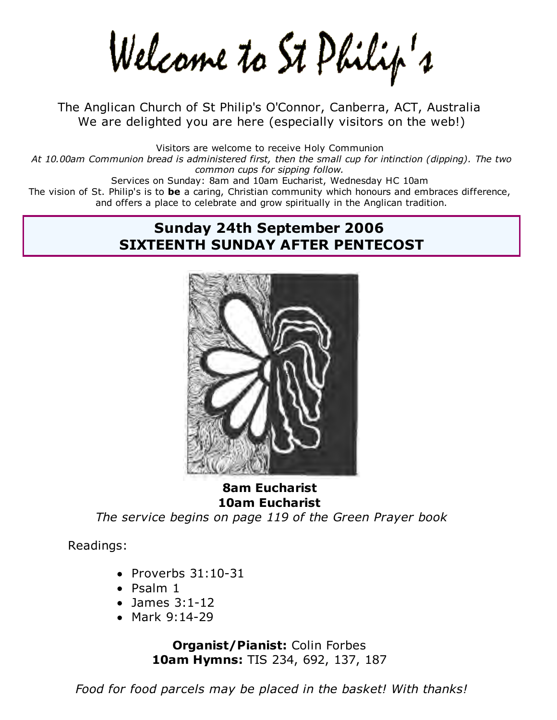Welcame to St Philip's

The Anglican Church of St Philip's O'Connor, Canberra, ACT, Australia We are delighted you are here (especially visitors on the web!)

Visitors are welcome to receive Holy Communion *At 10.00am Communion bread is administered first, then the small cup for intinction (dipping). The two common cups for sipping follow.* Services on Sunday: 8am and 10am Eucharist, Wednesday HC 10am The vision of St. Philip's is to **be** a caring, Christian community which honours and embraces difference, and offers a place to celebrate and grow spiritually in the Anglican tradition.

# **Sunday 24th September 2006 SIXTEENTH SUNDAY AFTER PENTECOST**



**8am Eucharist 10am Eucharist**

*The service begins on page 119 of the Green Prayer book*

Readings:

- $\bullet$  Proverbs  $31:10-31$
- Psalm 1
- James 3:1-12
- Mark 9:14-29

**Organist/Pianist:** Colin Forbes **10am Hymns:** TIS 234, 692, 137, 187

*Food for food parcels may be placed in the basket! With thanks!*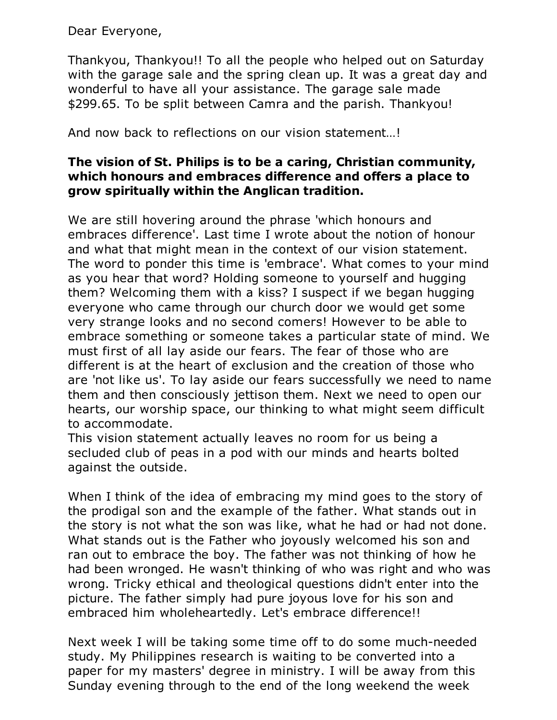Dear Everyone,

Thankyou, Thankyou!! To all the people who helped out on Saturday with the garage sale and the spring clean up. It was a great day and wonderful to have all your assistance. The garage sale made \$299.65. To be split between Camra and the parish. Thankyou!

And now back to reflections on our vision statement…!

### **The vision of St. Philips is to be a caring, Christian community, which honours and embraces difference and offers a place to grow spiritually within the Anglican tradition.**

We are still hovering around the phrase 'which honours and embraces difference'. Last time I wrote about the notion of honour and what that might mean in the context of our vision statement. The word to ponder this time is 'embrace'. What comes to your mind as you hear that word? Holding someone to yourself and hugging them? Welcoming them with a kiss? I suspect if we began hugging everyone who came through our church door we would get some very strange looks and no second comers! However to be able to embrace something or someone takes a particular state of mind. We must first of all lay aside our fears. The fear of those who are different is at the heart of exclusion and the creation of those who are 'not like us'. To lay aside our fears successfully we need to name them and then consciously jettison them. Next we need to open our hearts, our worship space, our thinking to what might seem difficult to accommodate.

This vision statement actually leaves no room for us being a secluded club of peas in a pod with our minds and hearts bolted against the outside.

When I think of the idea of embracing my mind goes to the story of the prodigal son and the example of the father. What stands out in the story is not what the son was like, what he had or had not done. What stands out is the Father who joyously welcomed his son and ran out to embrace the boy. The father was not thinking of how he had been wronged. He wasn't thinking of who was right and who was wrong. Tricky ethical and theological questions didn't enter into the picture. The father simply had pure joyous love for his son and embraced him wholeheartedly. Let's embrace difference!!

Next week I will be taking some time off to do some much-needed study. My Philippines research is waiting to be converted into a paper for my masters' degree in ministry. I will be away from this Sunday evening through to the end of the long weekend the week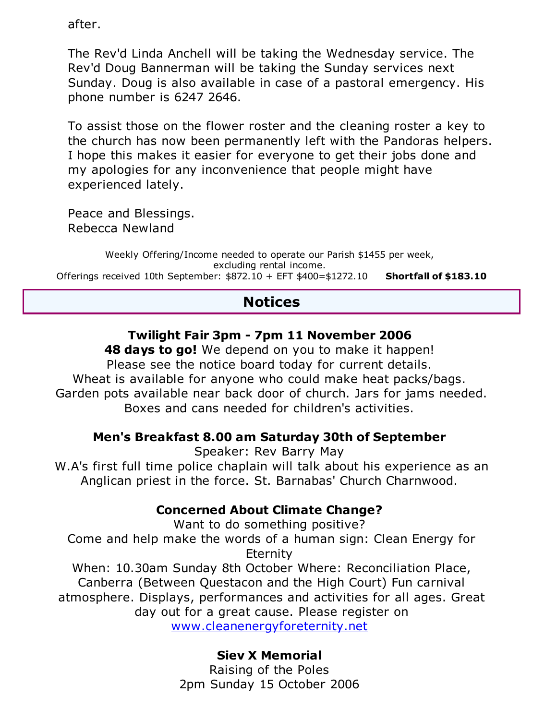after.

The Rev'd Linda Anchell will be taking the Wednesday service. The Rev'd Doug Bannerman will be taking the Sunday services next Sunday. Doug is also available in case of a pastoral emergency. His phone number is 6247 2646.

To assist those on the flower roster and the cleaning roster a key to the church has now been permanently left with the Pandoras helpers. I hope this makes it easier for everyone to get their jobs done and my apologies for any inconvenience that people might have experienced lately.

Peace and Blessings. Rebecca Newland

Weekly Offering/Income needed to operate our Parish \$1455 per week, excluding rental income. Offerings received 10th September: \$872.10 + EFT \$400=\$1272.10 **Shortfall of \$183.10**

# **Notices**

# **Twilight Fair 3pm - 7pm 11 November 2006**

**48 days to go!** We depend on you to make it happen! Please see the notice board today for current details. Wheat is available for anyone who could make heat packs/bags. Garden pots available near back door of church. Jars for jams needed. Boxes and cans needed for children's activities.

## **Men's Breakfast 8.00 am Saturday 30th of September**

Speaker: Rev Barry May W.A's first full time police chaplain will talk about his experience as an Anglican priest in the force. St. Barnabas' Church Charnwood.

# **Concerned About Climate Change?**

Want to do something positive? Come and help make the words of a human sign: Clean Energy for **Eternity** When: 10.30am Sunday 8th October Where: Reconciliation Place, Canberra (Between Questacon and the High Court) Fun carnival atmosphere. Displays, performances and activities for all ages. Great day out for a great cause. Please register on

www.cleanenergyforeternity.net

# **Siev X Memorial**

Raising of the Poles 2pm Sunday 15 October 2006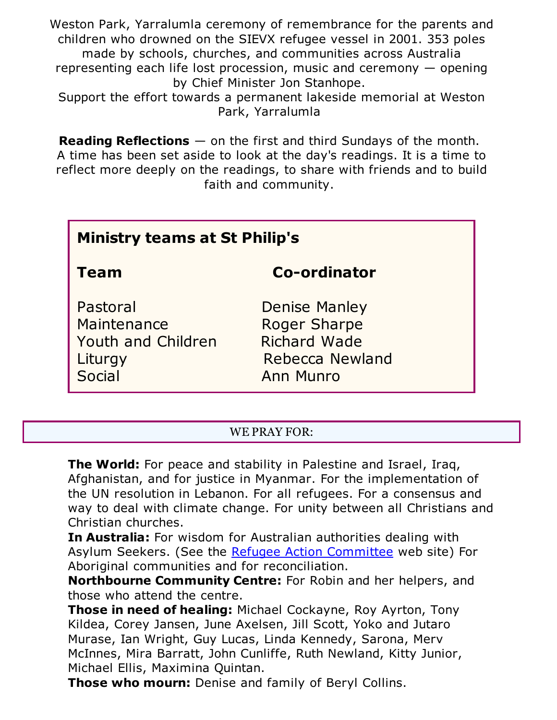Weston Park, Yarralumla ceremony of remembrance for the parents and children who drowned on the SIEVX refugee vessel in 2001. 353 poles made by schools, churches, and communities across Australia representing each life lost procession, music and ceremony — opening by Chief Minister Jon Stanhope.

Support the effort towards a permanent lakeside memorial at Weston Park, Yarralumla

**Reading Reflections** — on the first and third Sundays of the month. A time has been set aside to look at the day's readings. It is a time to reflect more deeply on the readings, to share with friends and to build faith and community.

| <b>Ministry teams at St Philip's</b>                                      |                                                                                                           |
|---------------------------------------------------------------------------|-----------------------------------------------------------------------------------------------------------|
| <b>Team</b>                                                               | <b>Co-ordinator</b>                                                                                       |
| Pastoral<br>Maintenance<br><b>Youth and Children</b><br>Liturgy<br>Social | <b>Denise Manley</b><br><b>Roger Sharpe</b><br><b>Richard Wade</b><br>Rebecca Newland<br><b>Ann Munro</b> |

#### WE PRAY FOR:

**The World:** For peace and stability in Palestine and Israel, Iraq, Afghanistan, and for justice in Myanmar. For the implementation of the UN resolution in Lebanon. For all refugees. For a consensus and way to deal with climate change. For unity between all Christians and Christian churches.

**In Australia:** For wisdom for Australian authorities dealing with Asylum Seekers. (See the Refugee Action Committee web site) For Aboriginal communities and for reconciliation.

**Northbourne Community Centre:** For Robin and her helpers, and those who attend the centre.

**Those in need of healing:** Michael Cockayne, Roy Ayrton, Tony Kildea, Corey Jansen, June Axelsen, Jill Scott, Yoko and Jutaro Murase, Ian Wright, Guy Lucas, Linda Kennedy, Sarona, Merv McInnes, Mira Barratt, John Cunliffe, Ruth Newland, Kitty Junior, Michael Ellis, Maximina Quintan.

**Those who mourn:** Denise and family of Beryl Collins.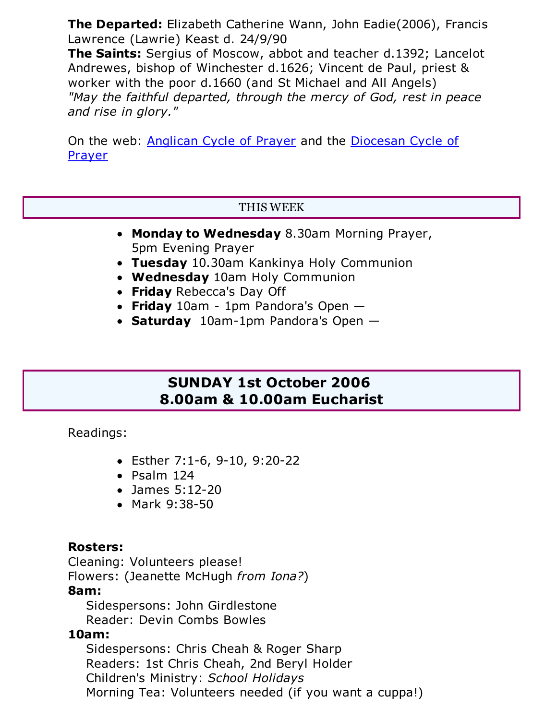**The Departed:** Elizabeth Catherine Wann, John Eadie(2006), Francis Lawrence (Lawrie) Keast d. 24/9/90

**The Saints:** Sergius of Moscow, abbot and teacher d.1392; Lancelot Andrewes, bishop of Winchester d.1626; Vincent de Paul, priest & worker with the poor d.1660 (and St Michael and All Angels) *"May the faithful departed, through the mercy of God, rest in peace and rise in glory."*

On the web: Anglican Cycle of Prayer and the Diocesan Cycle of Prayer

### THIS WEEK

- **Monday to Wednesday** 8.30am Morning Prayer, 5pm Evening Prayer
- **Tuesday** 10.30am Kankinya Holy Communion
- **Wednesday** 10am Holy Communion
- **Friday** Rebecca's Day Off
- **Friday** 10am 1pm Pandora's Open —
- **Saturday** 10am-1pm Pandora's Open —

# **SUNDAY 1st October 2006 8.00am & 10.00am Eucharist**

Readings:

- Esther 7:1-6, 9-10, 9:20-22
- Psalm 124
- James 5:12-20
- Mark 9:38-50

## **Rosters:**

Cleaning: Volunteers please!

Flowers: (Jeanette McHugh *from Iona?*)

## **8am:**

 Sidespersons: John Girdlestone Reader: Devin Combs Bowles

## **10am:**

 Sidespersons: Chris Cheah & Roger Sharp Readers: 1st Chris Cheah, 2nd Beryl Holder Children's Ministry: *School Holidays* Morning Tea: Volunteers needed (if you want a cuppa!)